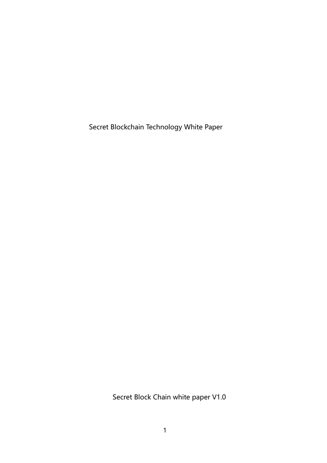Secret Blockchain Technology White Paper

Secret Block Chain white paper V1.0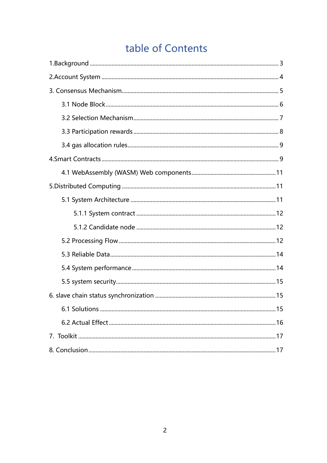# table of Contents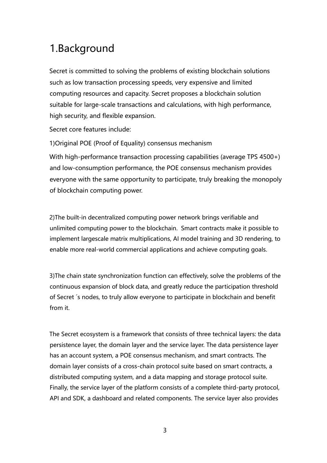# <span id="page-2-0"></span>1.Background

Secret is committed to solving the problems of existing blockchain solutions such as low transaction processing speeds, very expensive and limited computing resources and capacity. Secret proposes a blockchain solution suitable for large-scale transactions and calculations, with high performance, high security, and flexible expansion.

Secret core features include:

1)Original POE (Proof of Equality) consensus mechanism

With high-performance transaction processing capabilities (average TPS 4500+) and low-consumption performance, the POE consensus mechanism provides everyone with the same opportunity to participate, truly breaking the monopoly of blockchain computing power.

2)The built-in decentralized computing power network brings verifiable and unlimited computing power to the blockchain. Smart contracts make it possible to implement largescale matrix multiplications, AI model training and 3D rendering, to enable more real-world commercial applications and achieve computing goals.

3)The chain state synchronization function can effectively, solve the problems of the continuous expansion of block data, and greatly reduce the participation threshold of Secret ´s nodes, to truly allow everyone to participate in blockchain and benefit from it.

The Secret ecosystem is a framework that consists of three technical layers: the data persistence layer, the domain layer and the service layer. The data persistence layer has an account system, a POE consensus mechanism, and smart contracts. The domain layer consists of a cross-chain protocol suite based on smart contracts, a distributed computing system, and a data mapping and storage protocol suite. Finally, the service layer of the platform consists of a complete third-party protocol, API and SDK, a dashboard and related components. The service layer also provides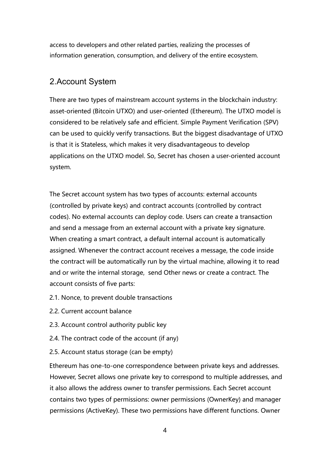access to developers and other related parties, realizing the processes of information generation, consumption, and delivery of the entire ecosystem.

#### <span id="page-3-0"></span>2.Account System

There are two types of mainstream account systems in the blockchain industry: asset-oriented (Bitcoin UTXO) and user-oriented (Ethereum). The UTXO model is considered to be relatively safe and efficient. Simple Payment Verification (SPV) can be used to quickly verify transactions. But the biggest disadvantage of UTXO is that it is Stateless, which makes it very disadvantageous to develop applications on the UTXO model. So, Secret has chosen a user-oriented account system.

The Secret account system has two types of accounts: external accounts (controlled by private keys) and contract accounts (controlled by contract codes). No external accounts can deploy code. Users can create a transaction and send a message from an external account with a private key signature. When creating a smart contract, a default internal account is automatically assigned. Whenever the contract account receives a message, the code inside the contract will be automatically run by the virtual machine, allowing it to read and or write the internal storage, send Other news or create a contract. The account consists of five parts:

- 2.1. Nonce, to prevent double transactions
- 2.2. Current account balance
- 2.3. Account control authority public key
- 2.4. The contract code of the account (if any)
- 2.5. Account status storage (can be empty)

Ethereum has one-to-one correspondence between private keys and addresses. However, Secret allows one private key to correspond to multiple addresses, and it also allows the address owner to transfer permissions. Each Secret account contains two types of permissions: owner permissions (OwnerKey) and manager permissions (ActiveKey). These two permissions have different functions. Owner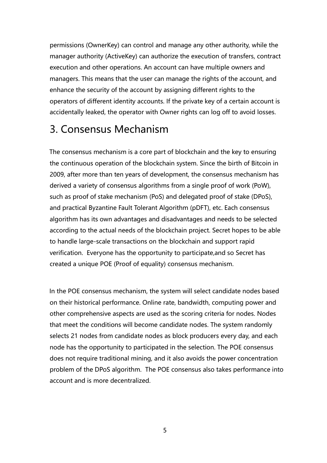permissions (OwnerKey) can control and manage any other authority, while the manager authority (ActiveKey) can authorize the execution of transfers, contract execution and other operations. An account can have multiple owners and managers. This means that the user can manage the rights of the account, and enhance the security of the account by assigning different rights to the operators of different identity accounts. If the private key of a certain account is accidentally leaked, the operator with Owner rights can log off to avoid losses.

# <span id="page-4-0"></span>3. Consensus Mechanism

The consensus mechanism is a core part of blockchain and the key to ensuring the continuous operation of the blockchain system. Since the birth of Bitcoin in 2009, after more than ten years of development, the consensus mechanism has derived a variety of consensus algorithms from a single proof of work (PoW), such as proof of stake mechanism (PoS) and delegated proof of stake (DPoS), and practical Byzantine Fault Tolerant Algorithm (pDFT), etc. Each consensus algorithm has its own advantages and disadvantages and needs to be selected according to the actual needs of the blockchain project. Secret hopes to be able to handle large-scale transactions on the blockchain and support rapid verification. Everyone has the opportunity to participate,and so Secret has created a unique POE (Proof of equality) consensus mechanism.

In the POE consensus mechanism, the system will select candidate nodes based on their historical performance. Online rate, bandwidth, computing power and other comprehensive aspects are used as the scoring criteria for nodes. Nodes that meet the conditions will become candidate nodes. The system randomly selects 21 nodes from candidate nodes as block producers every day, and each node has the opportunity to participated in the selection. The POE consensus does not require traditional mining, and it also avoids the power concentration problem of the DPoS algorithm. The POE consensus also takes performance into account and is more decentralized.

5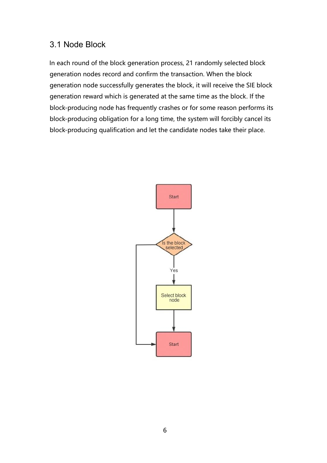#### <span id="page-5-0"></span>3.1 Node Block

In each round of the block generation process, 21 randomly selected block generation nodes record and confirm the transaction. When the block generation node successfully generates the block, it will receive the SIE block generation reward which is generated at the same time as the block. If the block-producing node has frequently crashes or for some reason performs its block-producing obligation for a long time, the system will forcibly cancel its block-producing qualification and let the candidate nodes take their place.

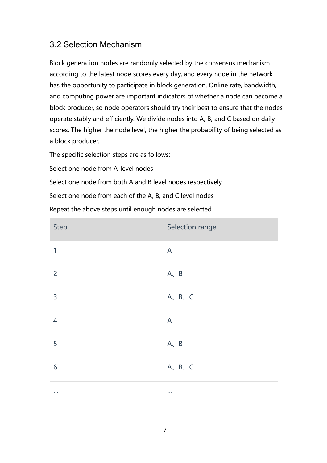# <span id="page-6-0"></span>3.2 Selection Mechanism

Block generation nodes are randomly selected by the consensus mechanism according to the latest node scores every day, and every node in the network has the opportunity to participate in block generation. Online rate, bandwidth, and computing power are important indicators of whether a node can become a block producer, so node operators should try their best to ensure that the nodes operate stably and efficiently. We divide nodes into A, B, and C based on daily scores. The higher the node level, the higher the probability of being selected as a block producer.

The specific selection steps are as follows:

Select one node from A-level nodes

Select one node from both A and B level nodes respectively Select one node from each of the A, B, and C level nodes Repeat the above steps until enough nodes are selected

| <b>Step</b>    | Selection range |
|----------------|-----------------|
| $\mathbf{1}$   | $\mathsf{A}$    |
| $\overline{2}$ | A, B            |
| $\overline{3}$ | A, B, C         |
| $\overline{4}$ | $\mathsf{A}$    |
| 5              | A, B            |
| 6              | A, B, C         |
| $\cdots$       | $\cdots$        |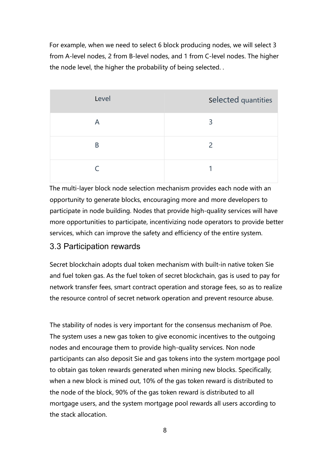For example, when we need to select 6 block producing nodes, we will select 3 from A-level nodes, 2 from B-level nodes, and 1 from C-level nodes. The higher the node level, the higher the probability of being selected. .

| Level | selected quantities      |
|-------|--------------------------|
| Α     | 3                        |
| B     | $\overline{\phantom{0}}$ |
|       |                          |

The multi-layer block node selection mechanism provides each node with an opportunity to generate blocks, encouraging more and more developers to participate in node building. Nodes that provide high-quality services will have more opportunities to participate, incentivizing node operators to provide better services, which can improve the safety and efficiency of the entire system.

#### <span id="page-7-0"></span>3.3 Participation rewards

Secret blockchain adopts dual token mechanism with built-in native token Sie and fuel token gas. As the fuel token of secret blockchain, gas is used to pay for network transfer fees, smart contract operation and storage fees, so as to realize the resource control of secret network operation and prevent resource abuse.

The stability of nodes is very important for the consensus mechanism of Poe. The system uses a new gas token to give economic incentives to the outgoing nodes and encourage them to provide high-quality services. Non node participants can also deposit Sie and gas tokens into the system mortgage pool to obtain gas token rewards generated when mining new blocks. Specifically, when a new block is mined out, 10% of the gas token reward is distributed to the node of the block, 90% of the gas token reward is distributed to all mortgage users, and the system mortgage pool rewards all users according to the stack allocation.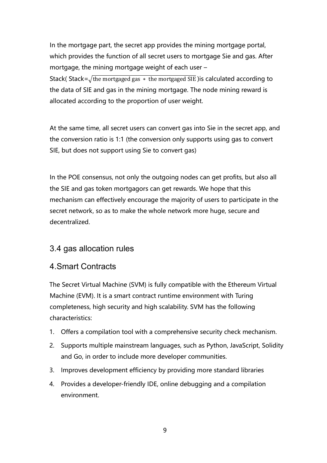In the mortgage part, the secret app provides the mining mortgage portal, which provides the function of all secret users to mortgage Sie and gas. After mortgage, the mining mortgage weight of each user – Stack( Stack= $\sqrt{\text{the}$  mortgaged gas  $*$  the mortgaged SIE) is calculated according to the data of SIE and gas in the mining mortgage. The node mining reward is allocated according to the proportion of user weight.

At the same time, all secret users can convert gas into Sie in the secret app, and the conversion ratio is 1:1 (the conversion only supports using gas to convert SIE, but does not support using Sie to convert gas)

In the POE consensus, not only the outgoing nodes can get profits, but also all the SIE and gas token mortgagors can get rewards. We hope that this mechanism can effectively encourage the majority of users to participate in the secret network, so as to make the whole network more huge, secure and decentralized.

#### <span id="page-8-0"></span>3.4 gas allocation rules

#### <span id="page-8-1"></span>4.Smart Contracts

The Secret Virtual Machine (SVM) is fully compatible with the Ethereum Virtual Machine (EVM). It is a smart contract runtime environment with Turing completeness, high security and high scalability. SVM has the following characteristics:

- 1. Offers a compilation tool with a comprehensive security check mechanism.
- 2. Supports multiple mainstream languages, such as Python, JavaScript, Solidity and Go, in order to include more developer communities.
- 3. Improves development efficiency by providing more standard libraries
- 4. Provides a developer-friendly IDE, online debugging and a compilation environment.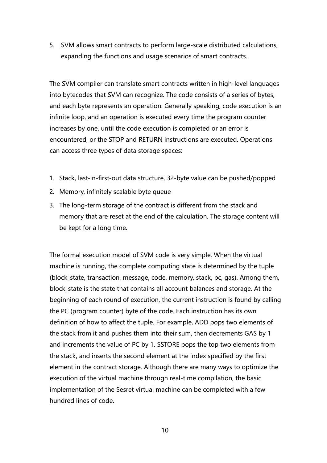5. SVM allows smart contracts to perform large-scale distributed calculations, expanding the functions and usage scenarios of smart contracts.

The SVM compiler can translate smart contracts written in high-level languages into bytecodes that SVM can recognize. The code consists of a series of bytes, and each byte represents an operation. Generally speaking, code execution is an infinite loop, and an operation is executed every time the program counter increases by one, until the code execution is completed or an error is encountered, or the STOP and RETURN instructions are executed. Operations can access three types of data storage spaces:

- 1. Stack, last-in-first-out data structure, 32-byte value can be pushed/popped
- 2. Memory, infinitely scalable byte queue
- 3. The long-term storage of the contract is different from the stack and memory that are reset at the end of the calculation. The storage content will be kept for a long time.

The formal execution model of SVM code is very simple. When the virtual machine is running, the complete computing state is determined by the tuple (block\_state, transaction, message, code, memory, stack, pc, gas). Among them, block state is the state that contains all account balances and storage. At the beginning of each round of execution, the current instruction is found by calling the PC (program counter) byte of the code. Each instruction has its own definition of how to affect the tuple. For example, ADD pops two elements of the stack from it and pushes them into their sum, then decrements GAS by 1 and increments the value of PC by 1. SSTORE pops the top two elements from the stack, and inserts the second element at the index specified by the first element in the contract storage. Although there are many ways to optimize the execution of the virtual machine through real-time compilation, the basic implementation of the Sesret virtual machine can be completed with a few hundred lines of code.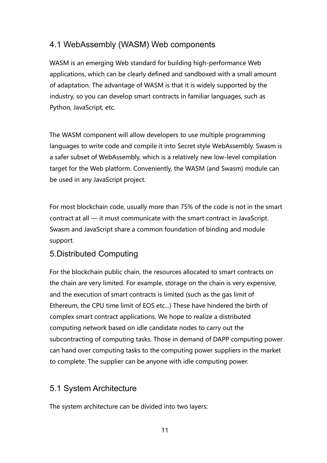# <span id="page-10-0"></span>4.1 WebAssembly (WASM) Web components

WASM is an emerging Web standard for building high-performance Web applications, which can be clearly defined and sandboxed with a small amount of adaptation. The advantage of WASM is that it is widely supported by the industry, so you can develop smart contracts in familiar languages, such as Python, JavaScript, etc.

The WASM component will allow developers to use multiple programming languages to write code and compile it into Secret style WebAssembly. Swasm is a safer subset of WebAssembly, which is a relatively new low-level compilation target for the Web platform. Conveniently, the WASM (and Swasm) module can be used in any JavaScript project.

For most blockchain code, usually more than 75% of the code is not in the smart contract at all — it must communicate with the smart contract in JavaScript. Swasm and JavaScript share a common foundation of binding and module support.

# <span id="page-10-1"></span>5.Distributed Computing

For the blockchain public chain, the resources allocated to smart contracts on the chain are very limited. For example, storage on the chain is very expensive, and the execution of smart contracts is limited (such as the gas limit of Ethereum, the CPU time limit of EOS etc...) These have hindered the birth of complex smart contract applications. We hope to realize a distributed computing network based on idle candidate nodes to carry out the subcontracting of computing tasks. Those in demand of DAPP computing power can hand over computing tasks to the computing power suppliers in the market to complete. The supplier can be anyone with idle computing power.

# <span id="page-10-2"></span>5.1 System Architecture

The system architecture can be divided into two layers: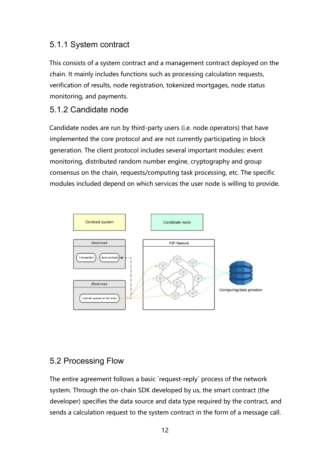# <span id="page-11-0"></span>5.1.1 System contract

This consists of a system contract and a management contract deployed on the chain. It mainly includes functions such as processing calculation requests, verification of results, node registration, tokenized mortgages, node status monitoring, and payments.

### <span id="page-11-1"></span>5.1.2 Candidate node

Candidate nodes are run by third-party users (i.e. node operators) that have implemented the core protocol and are not currently participating in block generation. The client protocol includes several important modules: event monitoring, distributed random number engine, cryptography and group consensus on the chain, requests/computing task processing, etc. The specific modules included depend on which services the user node is willing to provide.



#### <span id="page-11-2"></span>5.2 Processing Flow

The entire agreement follows a basic 'request-reply' process of the network system. Through the on-chain SDK developed by us, the smart contract (the developer) specifies the data source and data type required by the contract, and sends a calculation request to the system contract in the form of a message call.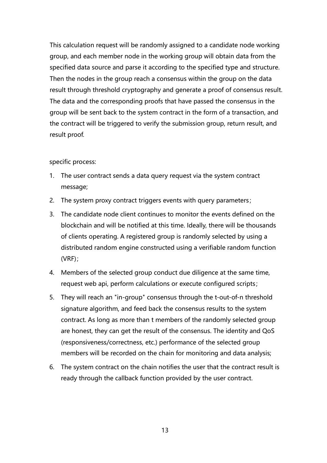This calculation request will be randomly assigned to a candidate node working group, and each member node in the working group will obtain data from the specified data source and parse it according to the specified type and structure. Then the nodes in the group reach a consensus within the group on the data result through threshold cryptography and generate a proof of consensus result. The data and the corresponding proofs that have passed the consensus in the group will be sent back to the system contract in the form of a transaction, and the contract will be triggered to verify the submission group, return result, and result proof.

#### specific process:

- 1. The user contract sends a data query request via the system contract message;
- 2. The system proxy contract triggers events with query parameters;
- 3. The candidate node client continues to monitor the events defined on the blockchain and will be notified at this time. Ideally, there will be thousands of clients operating. A registered group is randomly selected by using a distributed random engine constructed using a verifiable random function (VRF);
- 4. Members of the selected group conduct due diligence at the same time, request web api, perform calculations or execute configured scripts;
- 5. They will reach an "in-group" consensus through the t-out-of-n threshold signature algorithm, and feed back the consensus results to the system contract. As long as more than t members of the randomly selected group are honest, they can get the result of the consensus. The identity and QoS (responsiveness/correctness, etc.) performance of the selected group members will be recorded on the chain for monitoring and data analysis;
- 6. The system contract on the chain notifies the user that the contract result is ready through the callback function provided by the user contract.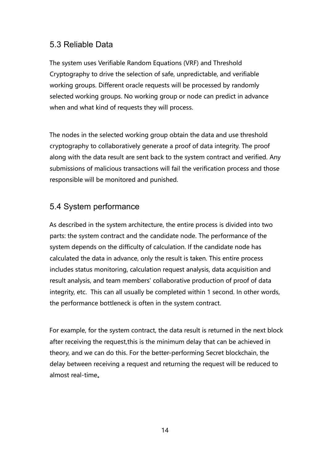#### <span id="page-13-0"></span>5.3 Reliable Data

The system uses Verifiable Random Equations (VRF) and Threshold Cryptography to drive the selection of safe, unpredictable, and verifiable working groups. Different oracle requests will be processed by randomly selected working groups. No working group or node can predict in advance when and what kind of requests they will process.

The nodes in the selected working group obtain the data and use threshold cryptography to collaboratively generate a proof of data integrity. The proof along with the data result are sent back to the system contract and verified. Any submissions of malicious transactions will fail the verification process and those responsible will be monitored and punished.

#### <span id="page-13-1"></span>5.4 System performance

As described in the system architecture, the entire process is divided into two parts: the system contract and the candidate node. The performance of the system depends on the difficulty of calculation. If the candidate node has calculated the data in advance, only the result is taken. This entire process includes status monitoring, calculation request analysis, data acquisition and result analysis, and team members' collaborative production of proof of data integrity, etc. This can all usually be completed within 1 second. In other words, the performance bottleneck is often in the system contract.

For example, for the system contract, the data result is returned in the next block after receiving the request,this is the minimum delay that can be achieved in theory, and we can do this. For the better-performing Secret blockchain, the delay between receiving a request and returning the request will be reduced to almost real-time。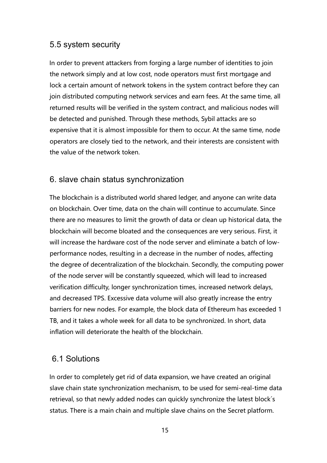#### <span id="page-14-0"></span>5.5 system security

In order to prevent attackers from forging a large number of identities to join the network simply and at low cost, node operators must first mortgage and lock a certain amount of network tokens in the system contract before they can join distributed computing network services and earn fees. At the same time, all returned results will be verified in the system contract, and malicious nodes will be detected and punished. Through these methods, Sybil attacks are so expensive that it is almost impossible for them to occur. At the same time, node operators are closely tied to the network, and their interests are consistent with the value of the network token.

#### <span id="page-14-1"></span>6. slave chain status synchronization

The blockchain is a distributed world shared ledger, and anyone can write data on blockchain. Over time, data on the chain will continue to accumulate. Since there are no measures to limit the growth of data or clean up historical data, the blockchain will become bloated and the consequences are very serious. First, it will increase the hardware cost of the node server and eliminate a batch of lowperformance nodes, resulting in a decrease in the number of nodes, affecting the degree of decentralization of the blockchain. Secondly, the computing power of the node server will be constantly squeezed, which will lead to increased verification difficulty, longer synchronization times, increased network delays, and decreased TPS. Excessive data volume will also greatly increase the entry barriers for new nodes. For example, the block data of Ethereum has exceeded 1 TB, and it takes a whole week for all data to be synchronized. In short, data inflation will deteriorate the health of the blockchain.

#### <span id="page-14-2"></span>6.1 Solutions

In order to completely get rid of data expansion, we have created an original slave chain state synchronization mechanism, to be used for semi-real-time data retrieval, so that newly added nodes can quickly synchronize the latest block´s status. There is a main chain and multiple slave chains on the Secret platform.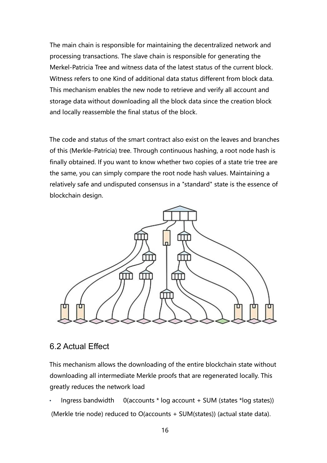The main chain is responsible for maintaining the decentralized network and processing transactions. The slave chain is responsible for generating the Merkel-Patricia Tree and witness data of the latest status of the current block. Witness refers to one Kind of additional data status different from block data. This mechanism enables the new node to retrieve and verify all account and storage data without downloading all the block data since the creation block and locally reassemble the final status of the block.

The code and status of the smart contract also exist on the leaves and branches of this (Merkle-Patricia) tree. Through continuous hashing, a root node hash is finally obtained. If you want to know whether two copies of a state trie tree are the same, you can simply compare the root node hash values. Maintaining a relatively safe and undisputed consensus in a "standard" state is the essence of blockchain design.



#### <span id="page-15-0"></span>6.2 Actual Effect

This mechanism allows the downloading of the entire blockchain state without downloading all intermediate Merkle proofs that are regenerated locally. This greatly reduces the network load

• Ingress bandwidth 0(accounts \* log account + SUM (states \*log states)) (Merkle trie node) reduced to O(accounts + SUM(states)) (actual state data).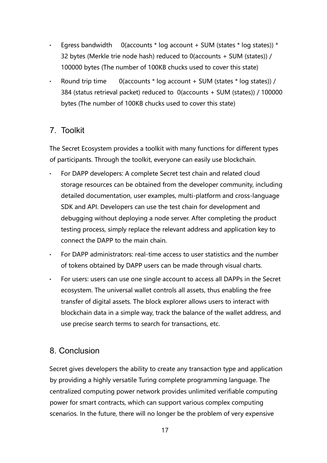- Egress bandwidth  $0$ (accounts \* log account + SUM (states \* log states)) \* 32 bytes (Merkle trie node hash) reduced to 0(accounts + SUM (states)) / 100000 bytes (The number of 100KB chucks used to cover this state)
- Round trip time  $0$  (accounts \* log account + SUM (states \* log states)) / 384 (status retrieval packet) reduced to 0(accounts + SUM (states)) / 100000 bytes (The number of 100KB chucks used to cover this state)

#### <span id="page-16-0"></span>7. Toolkit

The Secret Ecosystem provides a toolkit with many functions for different types of participants. Through the toolkit, everyone can easily use blockchain.

- For DAPP developers: A complete Secret test chain and related cloud storage resources can be obtained from the developer community, including detailed documentation, user examples, multi-platform and cross-language SDK and API. Developers can use the test chain for development and debugging without deploying a node server. After completing the product testing process, simply replace the relevant address and application key to connect the DAPP to the main chain.
- For DAPP administrators: real-time access to user statistics and the number of tokens obtained by DAPP users can be made through visual charts.
- For users: users can use one single account to access all DAPPs in the Secret ecosystem. The universal wallet controls all assets, thus enabling the free transfer of digital assets. The block explorer allows users to interact with blockchain data in a simple way, track the balance of the wallet address, and use precise search terms to search for transactions, etc.

#### <span id="page-16-1"></span>8. Conclusion

Secret gives developers the ability to create any transaction type and application by providing a highly versatile Turing complete programming language. The centralized computing power network provides unlimited verifiable computing power for smart contracts, which can support various complex computing scenarios. In the future, there will no longer be the problem of very expensive